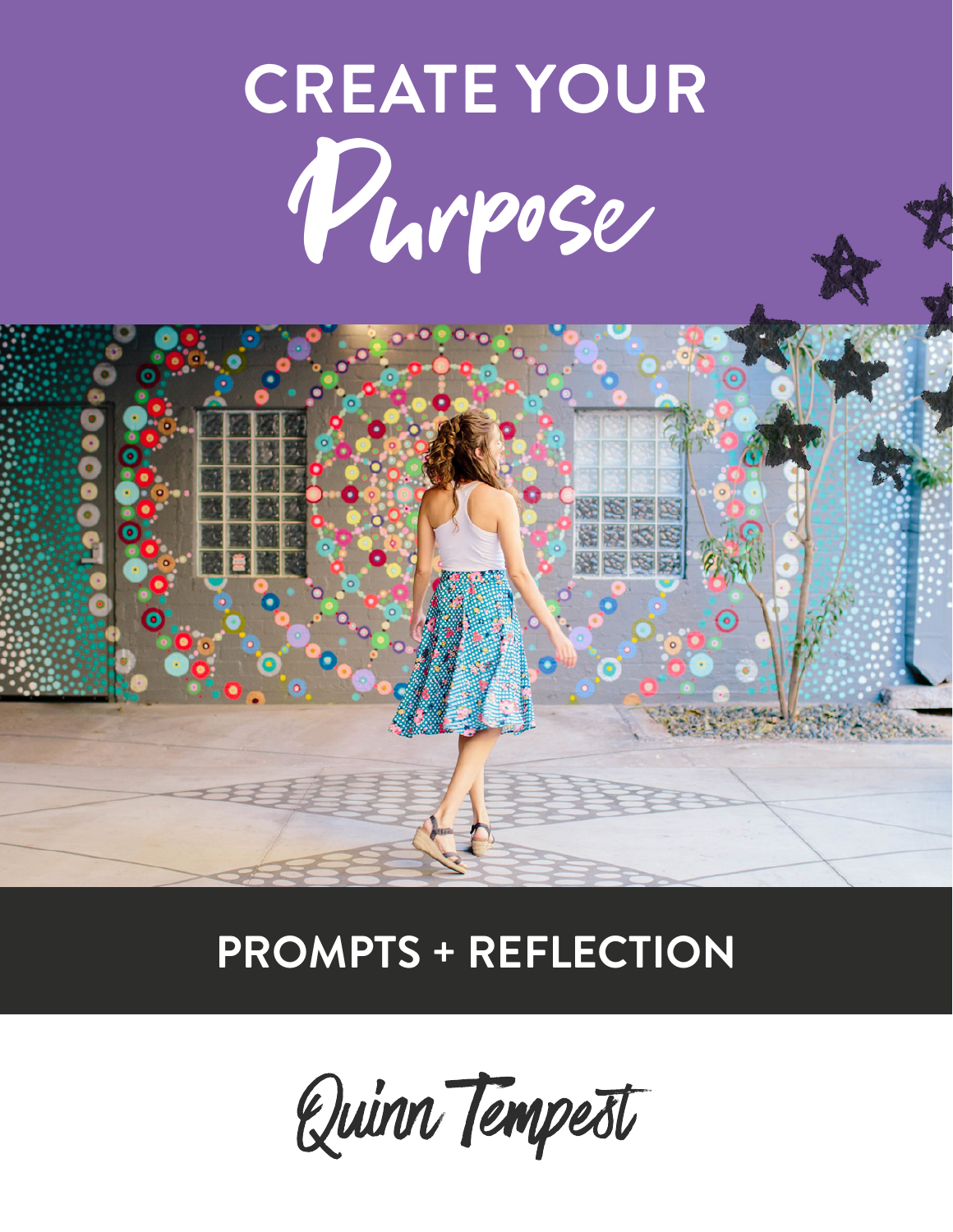# **CREATE YOUR** Purpose

# 素长尾

#### **PROMPTS + REFLECTION**

Quinn Tempest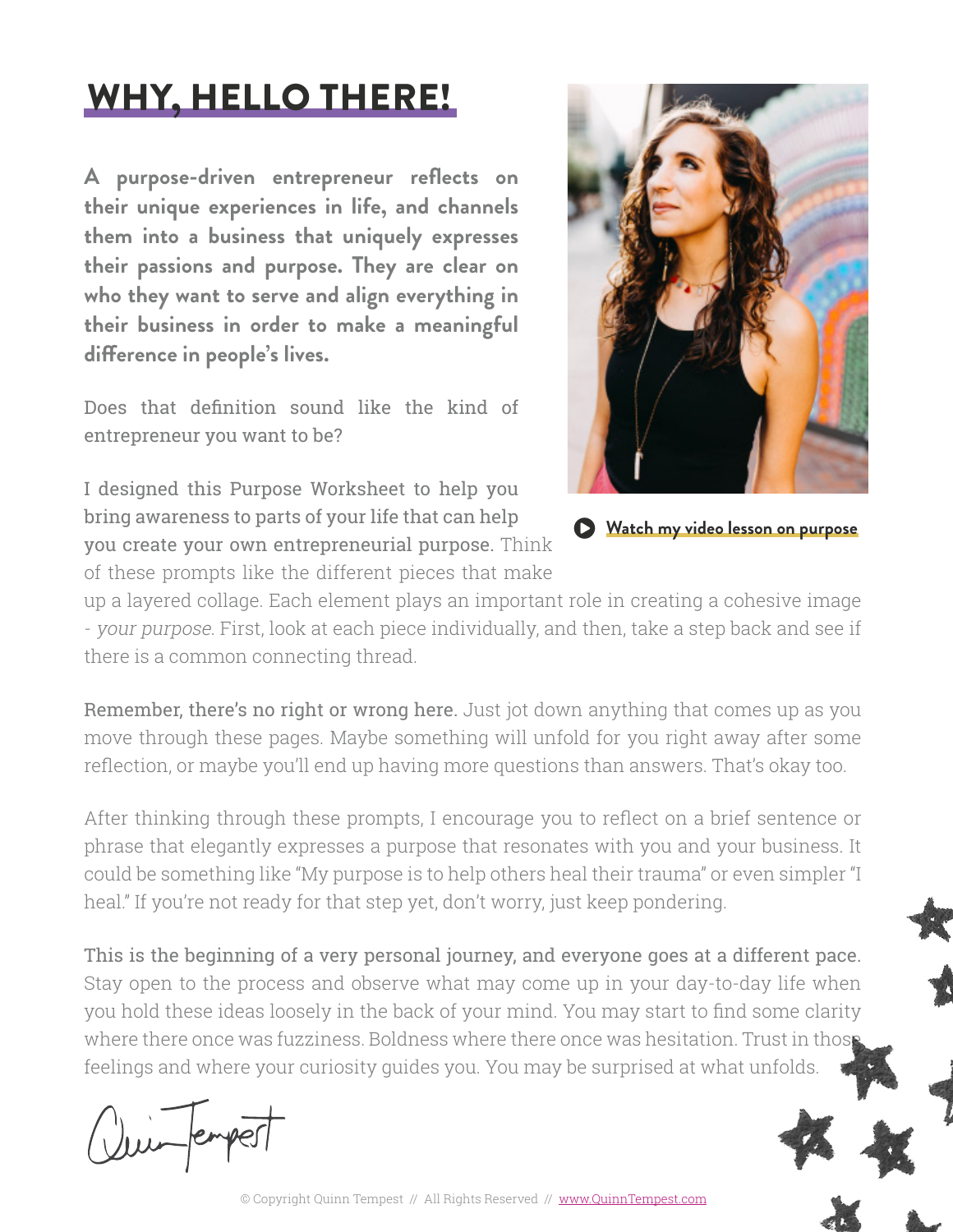#### WHY, HELLO THERE!

**A purpose-driven entrepreneur reflects on their unique experiences in life, and channels them into a business that uniquely expresses their passions and purpose. They are clear on who they want to serve and align everything in their business in order to make a meaningful difference in people's lives.**

Does that definition sound like the kind of entrepreneur you want to be?

I designed this Purpose Worksheet to help you bring awareness to parts of your life that can help you create your own entrepreneurial purpose. Think of these prompts like the different pieces that make



**play-watch my video lesson on purpose** 

up a layered collage. Each element plays an important role in creating a cohesive image - your purpose. First, look at each piece individually, and then, take a step back and see if there is a common connecting thread.

Remember, there's no right or wrong here. Just jot down anything that comes up as you move through these pages. Maybe something will unfold for you right away after some reflection, or maybe you'll end up having more questions than answers. That's okay too.

After thinking through these prompts, I encourage you to reflect on a brief sentence or phrase that elegantly expresses a purpose that resonates with you and your business. It could be something like "My purpose is to help others heal their trauma" or even simpler "I heal." If you're not ready for that step yet, don't worry, just keep pondering.

This is the beginning of a very personal journey, and everyone goes at a different pace. Stay open to the process and observe what may come up in your day-to-day life when you hold these ideas loosely in the back of your mind. You may start to find some clarity where there once was fuzziness. Boldness where there once was hesitation. Trust in those feelings and where your curiosity guides you. You may be surprised at what unfolds.

Quin empest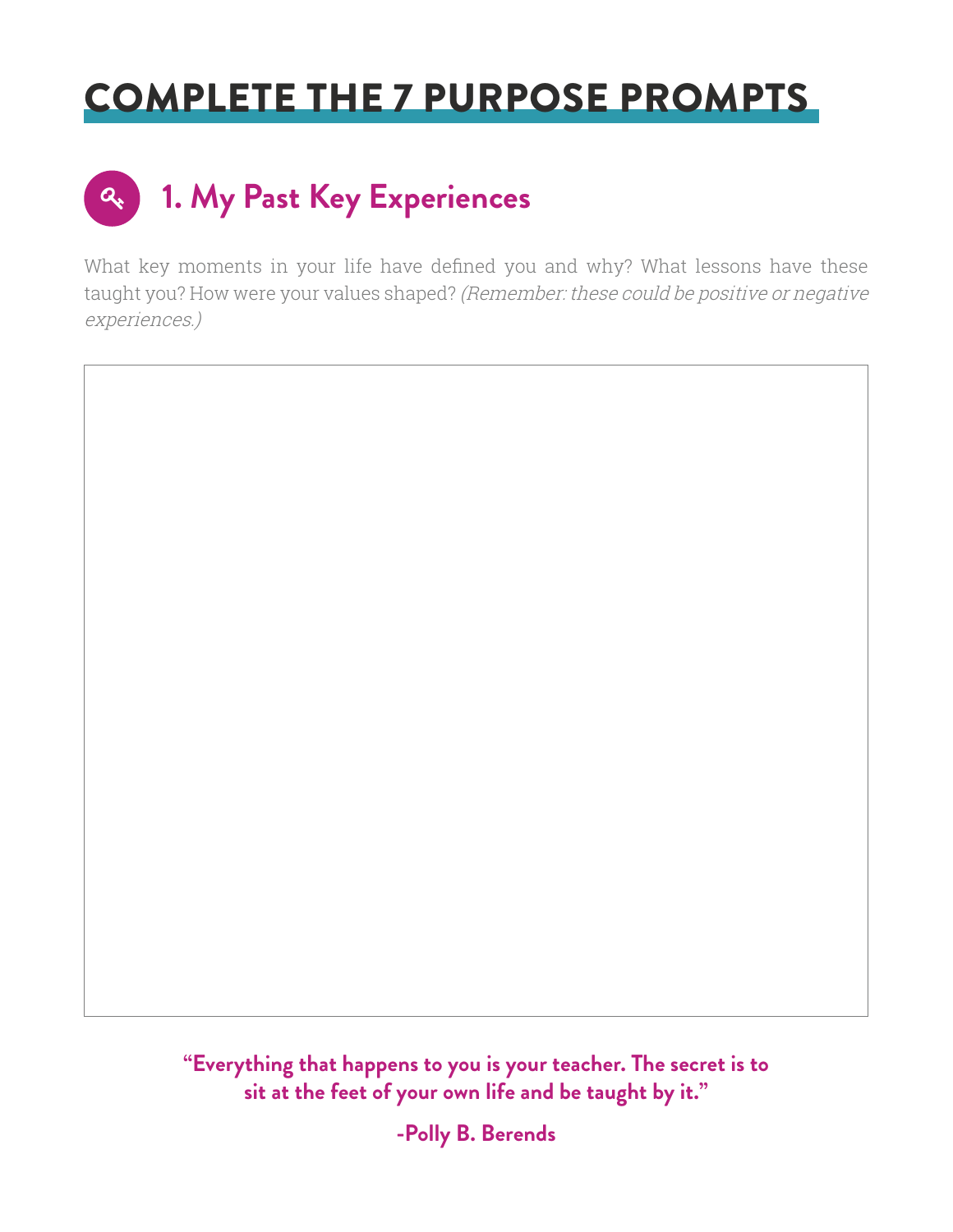#### COMPLETE THE 7 PURPOSE PROMPTS

## **1. My Past Key Experiences**

What key moments in your life have defined you and why? What lessons have these taught you? How were your values shaped? (Remember: these could be positive or negative experiences.)



**"Everything that happens to you is your teacher. The secret is to sit at the feet of your own life and be taught by it."** 

**-Polly B. Berends**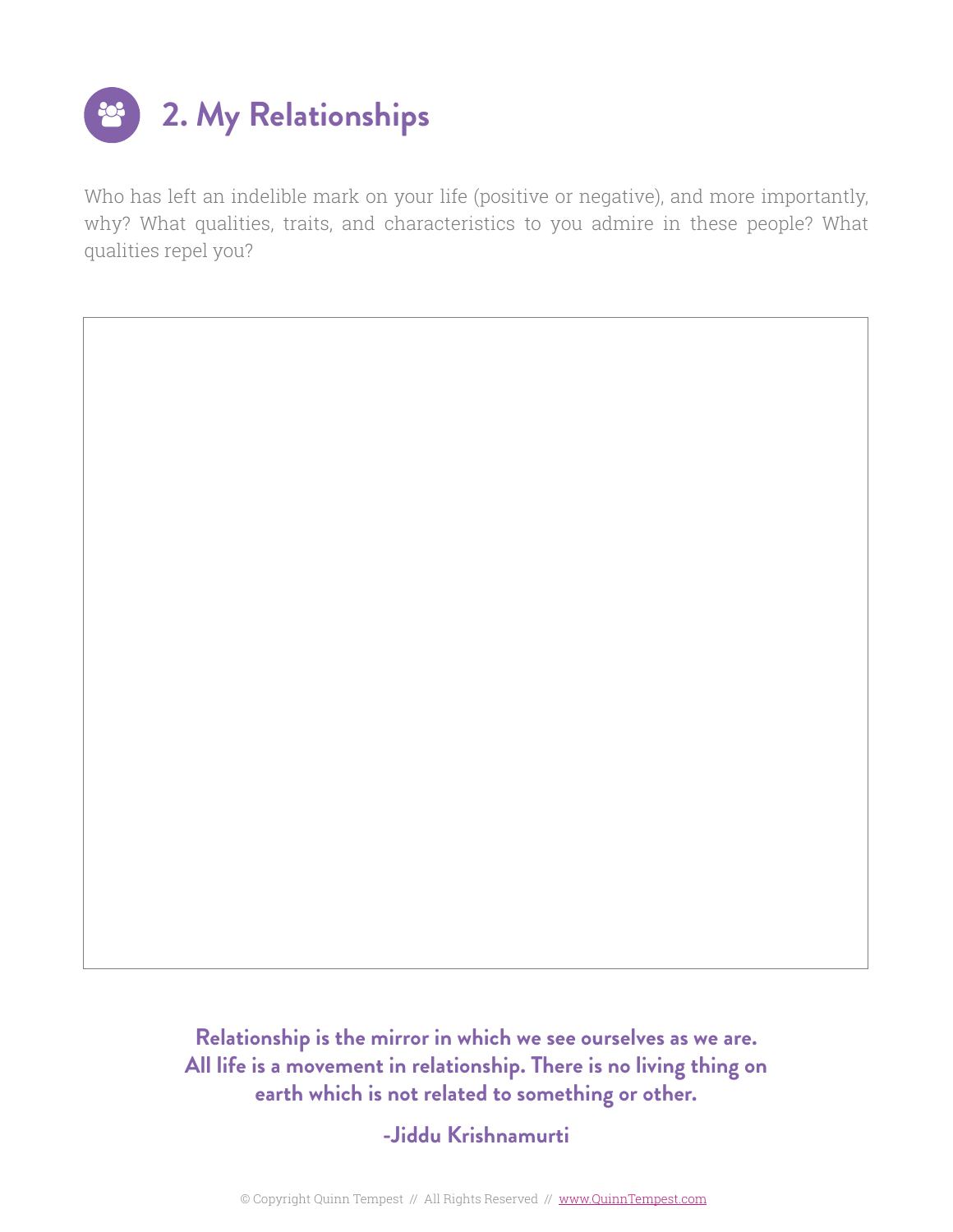

Who has left an indelible mark on your life (positive or negative), and more importantly, why? What qualities, traits, and characteristics to you admire in these people? What qualities repel you?

> **Relationship is the mirror in which we see ourselves as we are. All life is a movement in relationship. There is no living thing on earth which is not related to something or other.**

> > **-Jiddu Krishnamurti**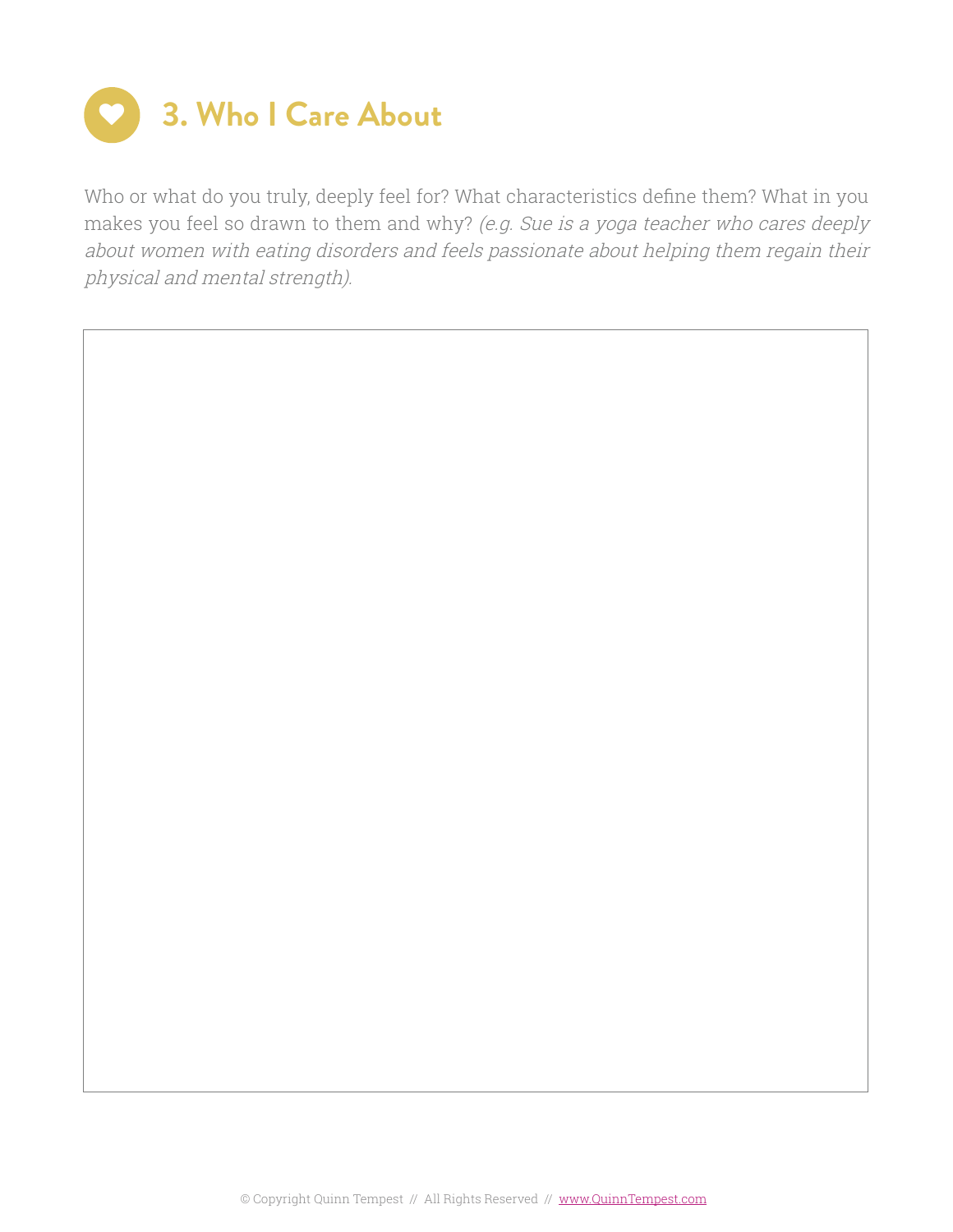

Who or what do you truly, deeply feel for? What characteristics define them? What in you makes you feel so drawn to them and why? (e.g. Sue is a yoga teacher who cares deeply about women with eating disorders and feels passionate about helping them regain their physical and mental strength).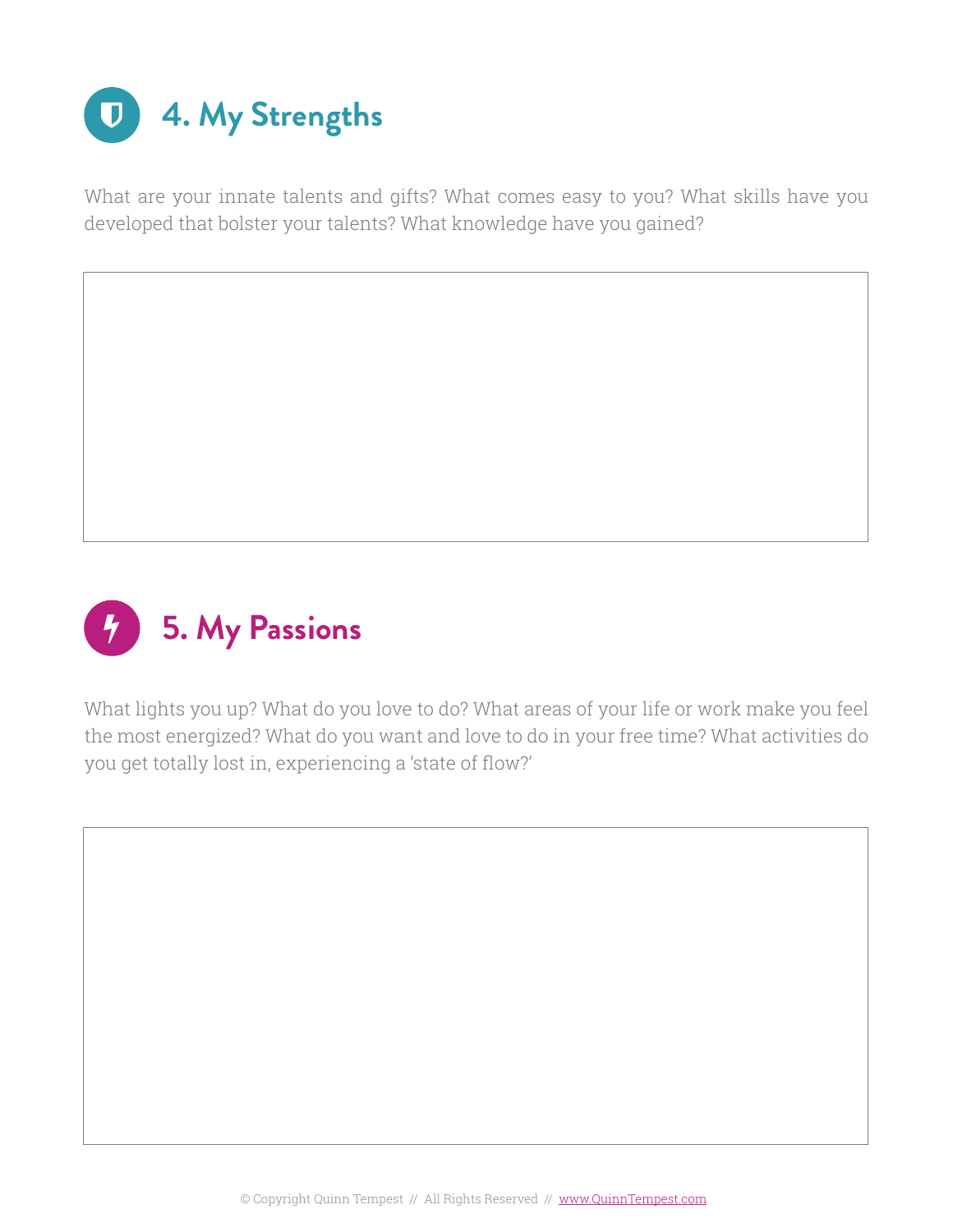

What are your innate talents and gifts? What comes easy to you? What skills have you developed that bolster your talents? What knowledge have you gained?



What lights you up? What do you love to do? What areas of your life or work make you feel the most energized? What do you want and love to do in your free time? What activities do you get totally lost in, experiencing a 'state of flow?'

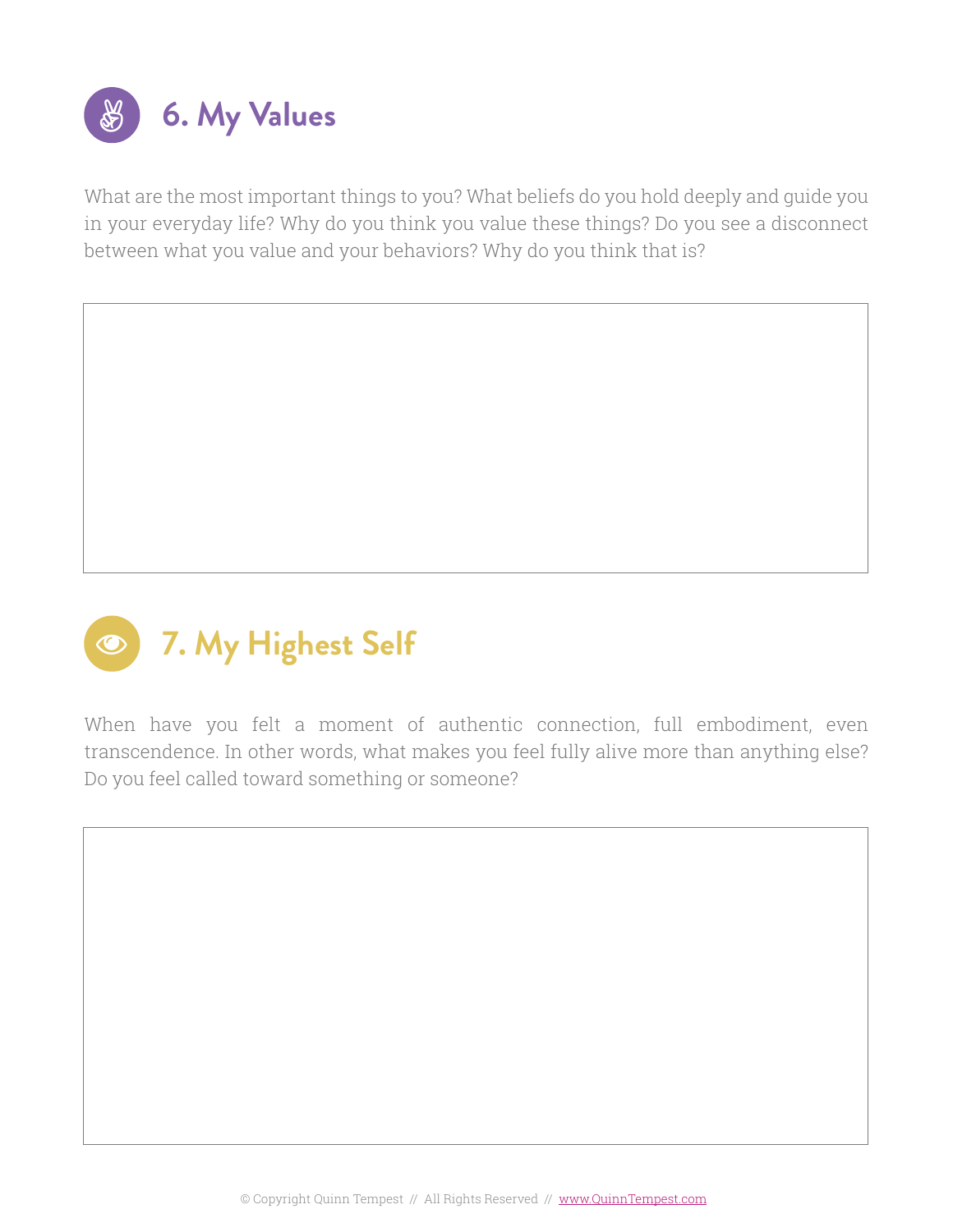

What are the most important things to you? What beliefs do you hold deeply and guide you in your everyday life? Why do you think you value these things? Do you see a disconnect between what you value and your behaviors? Why do you think that is?



When have you felt a moment of authentic connection, full embodiment, even transcendence. In other words, what makes you feel fully alive more than anything else? Do you feel called toward something or someone?

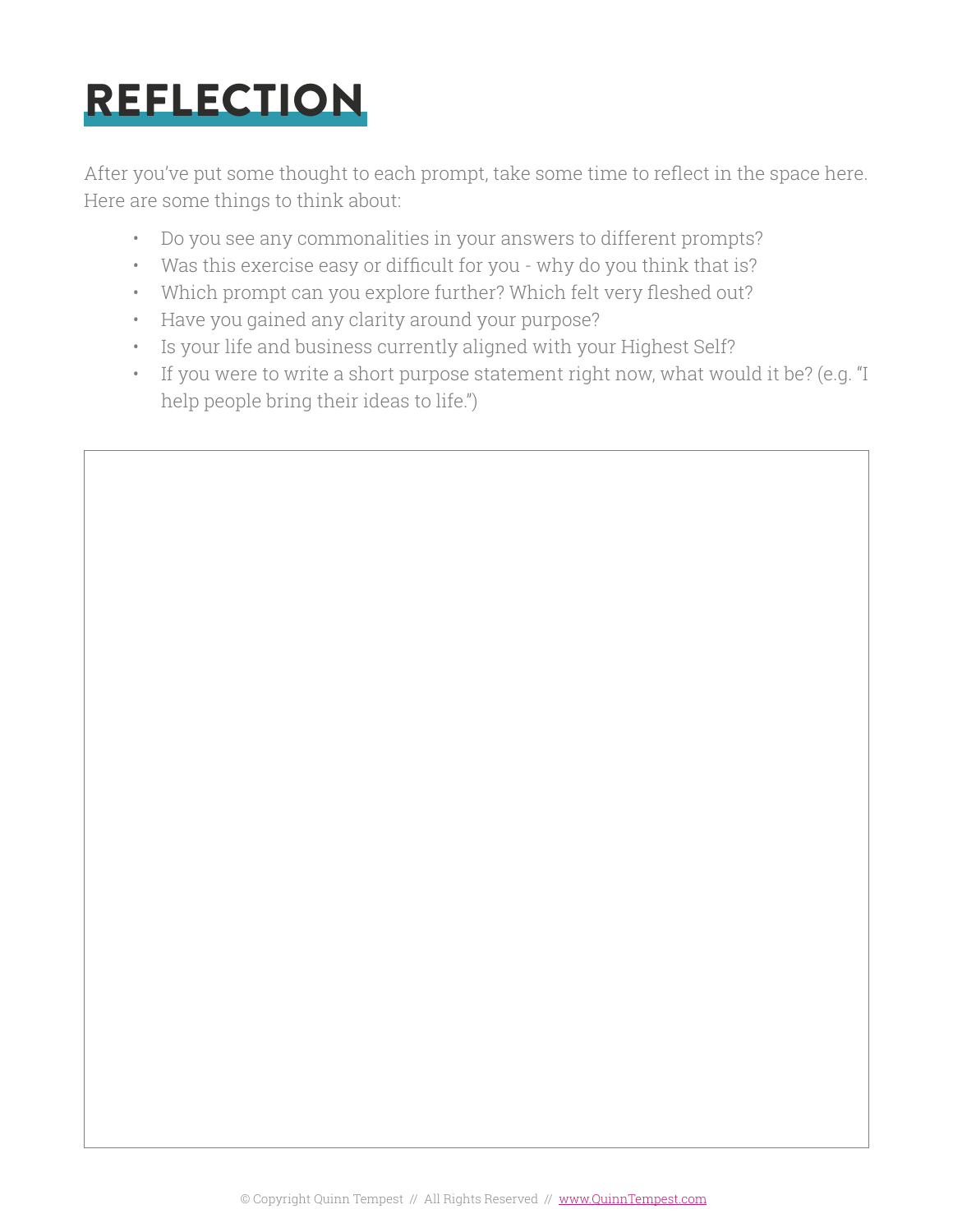# REFLECTION

After you've put some thought to each prompt, take some time to reflect in the space here. Here are some things to think about:

- Do you see any commonalities in your answers to different prompts?
- Was this exercise easy or difficult for you why do you think that is?
- Which prompt can you explore further? Which felt very fleshed out?
- Have you gained any clarity around your purpose?
- Is your life and business currently aligned with your Highest Self?
- If you were to write a short purpose statement right now, what would it be? (e.g. "I help people bring their ideas to life.")